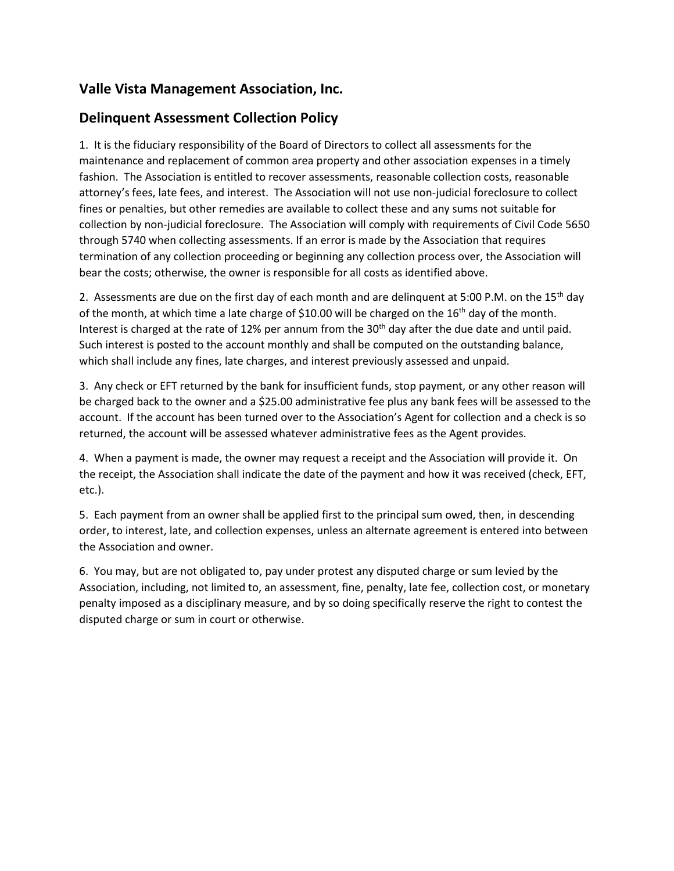# **Valle Vista Management Association, Inc.**

# **Delinquent Assessment Collection Policy**

1. It is the fiduciary responsibility of the Board of Directors to collect all assessments for the maintenance and replacement of common area property and other association expenses in a timely fashion. The Association is entitled to recover assessments, reasonable collection costs, reasonable attorney's fees, late fees, and interest. The Association will not use non-judicial foreclosure to collect fines or penalties, but other remedies are available to collect these and any sums not suitable for collection by non-judicial foreclosure. The Association will comply with requirements of Civil Code 5650 through 5740 when collecting assessments. If an error is made by the Association that requires termination of any collection proceeding or beginning any collection process over, the Association will bear the costs; otherwise, the owner is responsible for all costs as identified above.

2. Assessments are due on the first day of each month and are delinguent at 5:00 P.M. on the 15<sup>th</sup> day of the month, at which time a late charge of \$10.00 will be charged on the 16<sup>th</sup> day of the month. Interest is charged at the rate of 12% per annum from the 30<sup>th</sup> day after the due date and until paid. Such interest is posted to the account monthly and shall be computed on the outstanding balance, which shall include any fines, late charges, and interest previously assessed and unpaid.

3. Any check or EFT returned by the bank for insufficient funds, stop payment, or any other reason will be charged back to the owner and a \$25.00 administrative fee plus any bank fees will be assessed to the account. If the account has been turned over to the Association's Agent for collection and a check is so returned, the account will be assessed whatever administrative fees as the Agent provides.

4. When a payment is made, the owner may request a receipt and the Association will provide it. On the receipt, the Association shall indicate the date of the payment and how it was received (check, EFT, etc.).

5. Each payment from an owner shall be applied first to the principal sum owed, then, in descending order, to interest, late, and collection expenses, unless an alternate agreement is entered into between the Association and owner.

6. You may, but are not obligated to, pay under protest any disputed charge or sum levied by the Association, including, not limited to, an assessment, fine, penalty, late fee, collection cost, or monetary penalty imposed as a disciplinary measure, and by so doing specifically reserve the right to contest the disputed charge or sum in court or otherwise.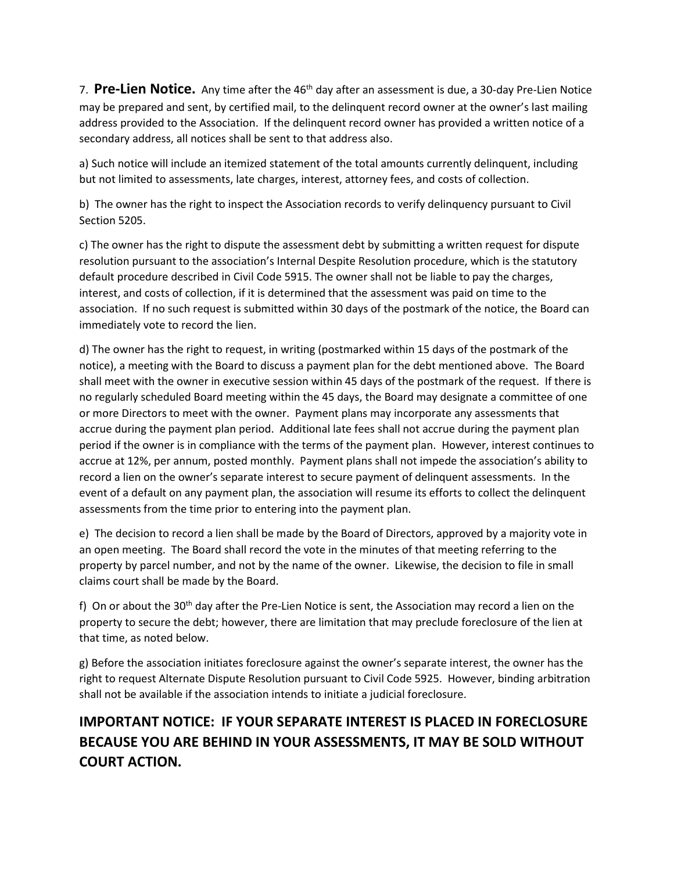7. **Pre-Lien Notice.** Any time after the 46<sup>th</sup> day after an assessment is due, a 30-day Pre-Lien Notice may be prepared and sent, by certified mail, to the delinquent record owner at the owner's last mailing address provided to the Association. If the delinquent record owner has provided a written notice of a secondary address, all notices shall be sent to that address also.

a) Such notice will include an itemized statement of the total amounts currently delinquent, including but not limited to assessments, late charges, interest, attorney fees, and costs of collection.

b) The owner has the right to inspect the Association records to verify delinquency pursuant to Civil Section 5205.

c) The owner has the right to dispute the assessment debt by submitting a written request for dispute resolution pursuant to the association's Internal Despite Resolution procedure, which is the statutory default procedure described in Civil Code 5915. The owner shall not be liable to pay the charges, interest, and costs of collection, if it is determined that the assessment was paid on time to the association. If no such request is submitted within 30 days of the postmark of the notice, the Board can immediately vote to record the lien.

d) The owner has the right to request, in writing (postmarked within 15 days of the postmark of the notice), a meeting with the Board to discuss a payment plan for the debt mentioned above. The Board shall meet with the owner in executive session within 45 days of the postmark of the request. If there is no regularly scheduled Board meeting within the 45 days, the Board may designate a committee of one or more Directors to meet with the owner. Payment plans may incorporate any assessments that accrue during the payment plan period. Additional late fees shall not accrue during the payment plan period if the owner is in compliance with the terms of the payment plan. However, interest continues to accrue at 12%, per annum, posted monthly. Payment plans shall not impede the association's ability to record a lien on the owner's separate interest to secure payment of delinquent assessments. In the event of a default on any payment plan, the association will resume its efforts to collect the delinquent assessments from the time prior to entering into the payment plan.

e) The decision to record a lien shall be made by the Board of Directors, approved by a majority vote in an open meeting. The Board shall record the vote in the minutes of that meeting referring to the property by parcel number, and not by the name of the owner. Likewise, the decision to file in small claims court shall be made by the Board.

f) On or about the 30<sup>th</sup> day after the Pre-Lien Notice is sent, the Association may record a lien on the property to secure the debt; however, there are limitation that may preclude foreclosure of the lien at that time, as noted below.

g) Before the association initiates foreclosure against the owner's separate interest, the owner has the right to request Alternate Dispute Resolution pursuant to Civil Code 5925. However, binding arbitration shall not be available if the association intends to initiate a judicial foreclosure.

# **IMPORTANT NOTICE: IF YOUR SEPARATE INTEREST IS PLACED IN FORECLOSURE BECAUSE YOU ARE BEHIND IN YOUR ASSESSMENTS, IT MAY BE SOLD WITHOUT COURT ACTION.**